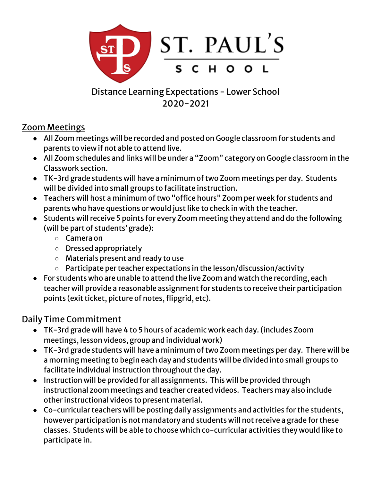

Distance Learning Expectations - Lower School 2020-2021

### Zoom Meetings

- All Zoom meetings will be recorded and posted on Google classroom for students and parents to view if not able to attend live.
- All Zoom schedules and links will be under a "Zoom" category on Google classroom in the Classwork section.
- TK-3rd grade students will have a minimum of two Zoom meetings per day. Students will be divided into small groups to facilitate instruction.
- Teachers will host a minimum of two "office hours" Zoom per week for students and parents who have questions or would just like to check in with the teacher.
- Students will receive 5 points for every Zoom meeting they attend and do the following (will be part of students' grade):
	- Camera on
	- Dressed appropriately
	- Materials present and ready to use
	- Participate per teacher expectations in the lesson/discussion/activity
- For students who are unable to attend the live Zoom and watch the recording, each teacher will provide a reasonable assignment for students to receive their participation points (exit ticket, picture of notes, flipgrid, etc).

# Daily Time Commitment

- TK-3rd grade will have 4 to 5 hours of academic work each day.(includes Zoom meetings, lesson videos, group and individual work)
- TK-3rd grade students will have a minimum of two Zoom meetings per day. There will be a morning meeting to begin each day and students will be divided into small groups to facilitate individual instruction throughout the day.
- Instruction will be provided for all assignments. This will be provided through instructional zoom meetings and teacher created videos. Teachers may also include other instructional videos to present material.
- Co-curricular teachers will be posting daily assignments and activities for the students, however participation is not mandatory and students will not receive a grade for these classes. Students will be able to choose which co-curricular activities they would like to participate in.